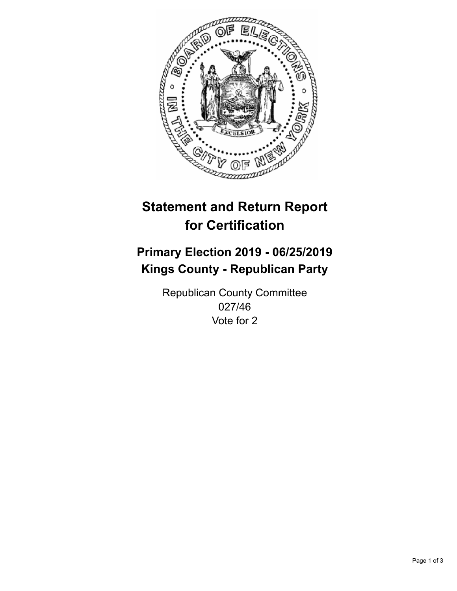

## **Statement and Return Report for Certification**

## **Primary Election 2019 - 06/25/2019 Kings County - Republican Party**

Republican County Committee 027/46 Vote for 2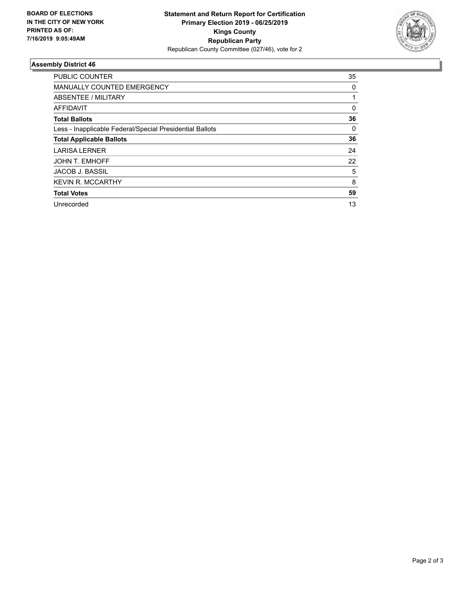

## **Assembly District 46**

| <b>PUBLIC COUNTER</b>                                    | 35       |
|----------------------------------------------------------|----------|
| <b>MANUALLY COUNTED EMERGENCY</b>                        | 0        |
| ABSENTEE / MILITARY                                      |          |
| AFFIDAVIT                                                | $\Omega$ |
| <b>Total Ballots</b>                                     | 36       |
| Less - Inapplicable Federal/Special Presidential Ballots | 0        |
| <b>Total Applicable Ballots</b>                          | 36       |
| <b>LARISA LERNER</b>                                     | 24       |
| <b>JOHN T. EMHOFF</b>                                    | 22       |
| <b>JACOB J. BASSIL</b>                                   | 5        |
| <b>KEVIN R. MCCARTHY</b>                                 | 8        |
| <b>Total Votes</b>                                       | 59       |
| Unrecorded                                               | 13       |